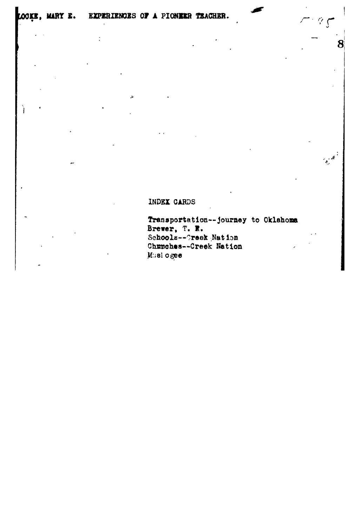<sup>1</sup>

 $\vdots$ 

## INDEX CARDS

Transportation--journey to Oklahoma Brewer, T. R. Schools--Creek Nation Churches--Creek Nation Musl ogee

 $\mathcal{L}$ 

8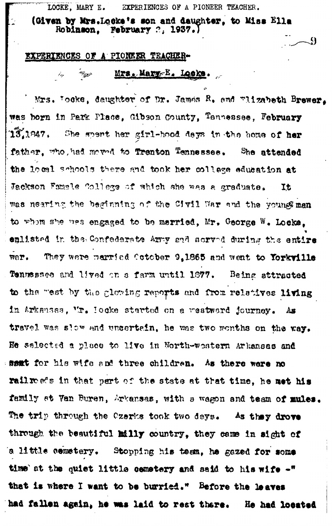LOCKE, MARY E. EXPERIENCES OF A PIONEER TEACHER.

(Given by Mrs.Locke's son and daughter, to Miss Ella Robinson. **February**  $2$ **, 1937.)** 

<u>્વ</u>

## EXPERIENCES OF A PIONEER TEACHER-

i i co

## Mrs. Mary E. Looks. الموسي

Mrs. Tocke, daughter of Dr. James R. and wlizabeth Brewer, was born in Park Place, Gibson County, Tennessee, February  $13,1947.$ She spent her girl-hood deys in the home of her father, who had moved to Trenton Tennessee. She attended the local schools there and took her college education at Jackson Famele College of which she was a graduate. It was nearing the beginning of the Civil War and the young man to whom she was engaged to be married, Mr. George W. Locks. enlisted in the Confederate Army and sorved during the entire They were married Cotober 9,1865 and went to Yorkville WOY. Tennessee and lived on a farm until 1877. Being attracted to the west by the glowing reports and from relatives living in Arkansas, Mr. Hocke started on a westwerd journey. As travel was slow and uncertain, he was two months on the way. He selected a place to live in North-western Arkansas and samt for his wife and three children. As there were no rail reads in that part of the state at that time, he met his family at Van Buren, Arkansas, with a wagon and team of mules. The trip through the Czerks took two deys. As they drove through the beautiful milly country, they came in sight of 'a little cemetery. Stopping his team, he gazed for some time at the quiet little cemetery and said to his wife -" that is where I want to be burried." Before the leaves had fallen again, he was laid to rest there. He had located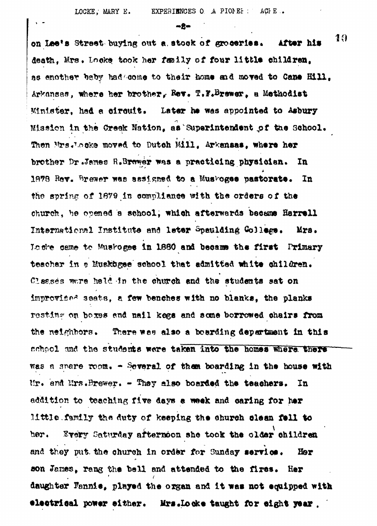$m$ 2m

19 on Lee's Street buying out a stock of groceries. After his death. Mrs. Locke took her family of four little children. as enother baby had come to their home and moved to Cane Hill, Arkansas, where her brother, Rev. T.F.Brewer, a Methodist Minister, had a circuit. Later he was appointed to Asbury Mission in the Creek Nation, as Superintendent of the School. Then Mrs. Locke moved to Dutch Mill. Arkensas, where her brother Dr.James R.Brewer was a practicing physician. In 1878 Rev. Brewer was assigned to a Muskogee pastorate. In the spring of 1879 in compliance with the orders of the church, he opened a school, which afterwards became Harrell International Institute and leter Spaulding Gollege. Mrs. Locke came to Muskoges in 1880 and became the first Primary teacher in a Muskagee school that admitted white children. Classes were held in the church and the students sat on improvised seats, a few benches with no blanks, the planks resting on boxes and nail kegs and some borrowed chairs from the neighbors. There was also a boarding department in this school and the students were taken into the homes where there was a spare room. - Several of them boarding in the house with Mr. and Mrs. Brewer. - They also boarded the teachers. In addition to teaching five days a week and caring for her little family the duty of keeping the church clean fell to Every Saturday afternoon she took the older children her. and they put the church in order for Sunday service. Her son James, rang the bell and attended to the fires. Her daughter Fannie, played the organ and it was not equipped with electrical power either. Mrs.Locke taught for eight year.